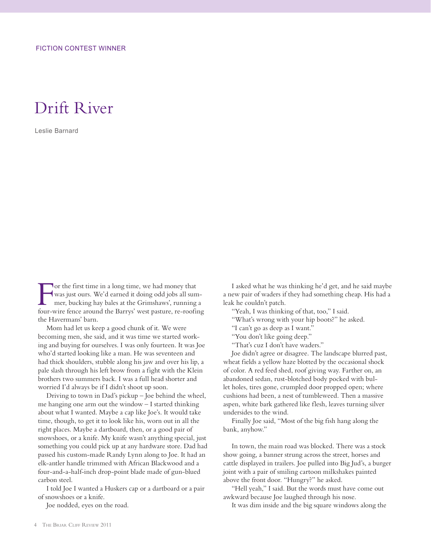## Drift River

Leslie Barnard

For the first time in a long time, we had money that<br>was just ours. We'd earned it doing odd jobs all sum<br>mer, bucking hay bales at the Grimshaws', running<br>four wire fance around the Barrys' wet pature, re-roofin was just ours. We'd earned it doing odd jobs all summer, bucking hay bales at the Grimshaws', running a four-wire fence around the Barrys' west pasture, re-roofing the Havermans' barn.

Mom had let us keep a good chunk of it. We were becoming men, she said, and it was time we started working and buying for ourselves. I was only fourteen. It was Joe who'd started looking like a man. He was seventeen and had thick shoulders, stubble along his jaw and over his lip, a pale slash through his left brow from a fight with the Klein brothers two summers back. I was a full head shorter and worried I'd always be if I didn't shoot up soon.

Driving to town in Dad's pickup – Joe behind the wheel, me hanging one arm out the window – I started thinking about what I wanted. Maybe a cap like Joe's. It would take time, though, to get it to look like his, worn out in all the right places. Maybe a dartboard, then, or a good pair of snowshoes, or a knife. My knife wasn't anything special, just something you could pick up at any hardware store. Dad had passed his custom-made Randy Lynn along to Joe. It had an elk-antler handle trimmed with African Blackwood and a four-and-a-half-inch drop-point blade made of gun-blued carbon steel.

I told Joe I wanted a Huskers cap or a dartboard or a pair of snowshoes or a knife.

Joe nodded, eyes on the road.

I asked what he was thinking he'd get, and he said maybe a new pair of waders if they had something cheap. His had a leak he couldn't patch.

"Yeah, I was thinking of that, too," I said.

- "What's wrong with your hip boots?" he asked.
- "I can't go as deep as I want."
- "You don't like going deep."
- "That's cuz I don't have waders."

Joe didn't agree or disagree. The landscape blurred past, wheat fields a yellow haze blotted by the occasional shock of color. A red feed shed, roof giving way. Farther on, an abandoned sedan, rust-blotched body pocked with bullet holes, tires gone, crumpled door propped open; where cushions had been, a nest of tumbleweed. Then a massive aspen, white bark gathered like flesh, leaves turning silver undersides to the wind.

Finally Joe said, "Most of the big fish hang along the bank, anyhow."

In town, the main road was blocked. There was a stock show going, a banner strung across the street, horses and cattle displayed in trailers. Joe pulled into Big Jud's, a burger joint with a pair of smiling cartoon milkshakes painted above the front door. "Hungry?" he asked.

"Hell yeah," I said. But the words must have come out awkward because Joe laughed through his nose.

It was dim inside and the big square windows along the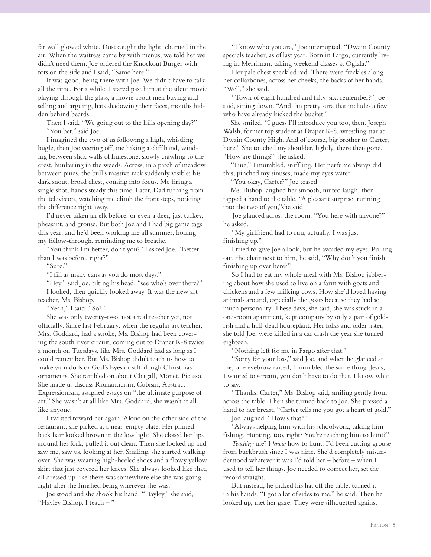far wall glowed white. Dust caught the light, churned in the air. When the waitress came by with menus, we told her we didn't need them. Joe ordered the Knockout Burger with tots on the side and I said, "Same here."

It was good, being there with Joe. We didn't have to talk all the time. For a while, I stared past him at the silent movie playing through the glass, a movie about men buying and selling and arguing, hats shadowing their faces, mouths hidden behind beards.

Then I said, "We going out to the hills opening day?" "You bet," said Joe.

I imagined the two of us following a high, whistling bugle, then Joe veering off, me hiking a cliff band, winding between slick walls of limestone, slowly crawling to the crest, hunkering in the weeds. Across, in a patch of meadow between pines, the bull's massive rack suddenly visible; his dark snout, broad chest, coming into focus. Me firing a single shot, hands steady this time. Later, Dad turning from the television, watching me climb the front steps, noticing the difference right away.

I'd never taken an elk before, or even a deer, just turkey, pheasant, and grouse. But both Joe and I had big game tags this year, and he'd been working me all summer, honing my follow-through, reminding me to breathe.

"You think I'm better, don't you?" I asked Joe. "Better than I was before, right?"

"Sure."

"I fill as many cans as you do most days."

"Hey," said Joe, tilting his head, "see who's over there?" I looked, then quickly looked away. It was the new art teacher, Ms. Bishop.

"Yeah," I said. "So?"

She was only twenty-two, not a real teacher yet, not officially. Since last February, when the regular art teacher, Mrs. Goddard, had a stroke, Ms. Bishop had been covering the south river circuit, coming out to Draper K-8 twice a month on Tuesdays, like Mrs. Goddard had as long as I could remember. But Ms. Bishop didn't teach us how to make yarn dolls or God's Eyes or salt-dough Christmas ornaments. She rambled on about Chagall, Monet, Picasso. She made us discuss Romanticism, Cubism, Abstract Expressionism, assigned essays on "the ultimate purpose of art." She wasn't at all like Mrs. Goddard, she wasn't at all like anyone.

I twisted toward her again. Alone on the other side of the restaurant, she picked at a near-empty plate. Her pinnedback hair looked brown in the low light. She closed her lips around her fork, pulled it out clean. Then she looked up and saw me, saw us, looking at her. Smiling, she started walking over. She was wearing high-heeled shoes and a flowy yellow skirt that just covered her knees. She always looked like that, all dressed up like there was somewhere else she was going right after she finished being wherever she was.

Joe stood and she shook his hand. "Hayley," she said, "Hayley Bishop. I teach – "

"I know who you are," Joe interrupted. "Dwain County specials teacher, as of last year. Born in Fargo, currently living in Merriman, taking weekend classes at Oglala."

Her pale chest speckled red. There were freckles along her collarbones, across her cheeks, the backs of her hands. "Well," she said.

"Town of eight hundred and fifty-six, remember?" Joe said, sitting down. "And I'm pretty sure that includes a few who have already kicked the bucket."

 She smiled. "I guess I'll introduce you too, then. Joseph Walsh, former top student at Draper K-8, wrestling star at Dwain County High. And of course, big brother to Carter, here." She touched my shoulder, lightly, there then gone. "How are things?" she asked.

 "Fine," I mumbled, sniffling. Her perfume always did this, pinched my sinuses, made my eyes water.

"You okay, Carter?" Joe teased.

 Ms. Bishop laughed her smooth, muted laugh, then tapped a hand to the table. "A pleasant surprise, running into the two of you,"she said.

 Joe glanced across the room. "You here with anyone?" he asked.

"My girlfriend had to run, actually. I was just finishing up."

I tried to give Joe a look, but he avoided my eyes. Pulling out the chair next to him, he said, "Why don't you finish finishing up over here?"

So I had to eat my whole meal with Ms. Bishop jabbering about how she used to live on a farm with goats and chickens and a few milking cows. How she'd loved having animals around, especially the goats because they had so much personality. These days, she said, she was stuck in a one-room apartment, kept company by only a pair of goldfish and a half-dead houseplant. Her folks and older sister, she told Joe, were killed in a car crash the year she turned eighteen.

"Nothing left for me in Fargo after that."

"Sorry for your loss," said Joe, and when he glanced at me, one eyebrow raised, I mumbled the same thing. Jesus, I wanted to scream, you don't have to do that. I know what to say.

"Thanks, Carter," Ms. Bishop said, smiling gently from across the table. Then she turned back to Joe. She pressed a hand to her breast. "Carter tells me you got a heart of gold."

Joe laughed. "How's that?"

"Always helping him with his schoolwork, taking him fishing. Hunting, too, right? You're teaching him to hunt?"

*Teaching* me? I *knew* how to hunt. I'd been cutting grouse from buckbrush since I was nine. She'd completely misunderstood whatever it was I'd told her – before – when I used to tell her things. Joe needed to correct her, set the record straight.

But instead, he picked his hat off the table, turned it in his hands. "I got a lot of sides to me," he said. Then he looked up, met her gaze. They were silhouetted against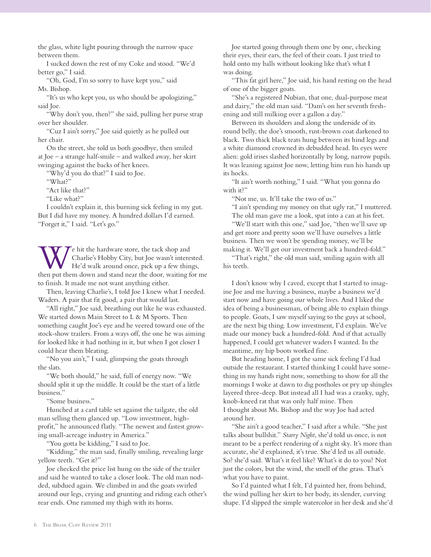the glass, white light pouring through the narrow space between them.

I sucked down the rest of my Coke and stood. "We'd better go," I said.

"Oh, God, I'm so sorry to have kept you," said Ms. Bishop.

"It's us who kept you, us who should be apologizing," said Joe.

"Why don't you, then?" she said, pulling her purse strap over her shoulder.

"Cuz I ain't sorry," Joe said quietly as he pulled out her chair.

On the street, she told us both goodbye, then smiled at Joe – a strange half-smile – and walked away, her skirt swinging against the backs of her knees.

"Why'd you do that?" I said to Joe.

"What?"

"Act like that?"

"Like what?"

I couldn't explain it, this burning sick feeling in my gut. But I did have my money. A hundred dollars I'd earned. "Forget it," I said. "Let's go."

We hit the hardware store, the tack shop and<br>Charlie's Hobby City, but Joe wasn't interest<br>He'd walk around once, pick up a few thin Charlie's Hobby City, but Joe wasn't interested. He'd walk around once, pick up a few things, then put them down and stand near the door, waiting for me to finish. It made me not want anything either.

Then, leaving Charlie's, I told Joe I knew what I needed. Waders. A pair that fit good, a pair that would last.

"All right," Joe said, breathing out like he was exhausted. We started down Main Street to L & M Sports. Then something caught Joe's eye and he veered toward one of the stock-show trailers. From a ways off, the one he was aiming for looked like it had nothing in it, but when I got closer I could hear them bleating.

"No you ain't," I said, glimpsing the goats through the slats.

"We both should," he said, full of energy now. "We should split it up the middle. It could be the start of a little business."

"Some business."

Hunched at a card table set against the tailgate, the old man selling them glanced up. "Low investment, highprofit," he announced flatly. "The newest and fastest growing small-acreage industry in America."

"You gotta be kidding," I said to Joe.

"Kidding," the man said, finally smiling, revealing large yellow teeth. "Get it?"

Joe checked the price list hung on the side of the trailer and said he wanted to take a closer look. The old man nodded, subdued again. We climbed in and the goats swirled around our legs, crying and grunting and riding each other's rear ends. One rammed my thigh with its horns.

Joe started going through them one by one, checking their eyes, their ears, the feel of their coats. I just tried to hold onto my balls without looking like that's what I was doing.

"This fat girl here," Joe said, his hand resting on the head of one of the bigger goats.

"She's a registered Nubian, that one, dual-purpose meat and dairy," the old man said. "Dam's on her seventh freshening and still milking over a gallon a day."

Between its shoulders and along the underside of its round belly, the doe's smooth, rust-brown coat darkened to black. Two thick black teats hung between its hind legs and a white diamond crowned its debudded head. Its eyes were alien: gold irises slashed horizontally by long, narrow pupils. It was leaning against Joe now, letting him run his hands up its hocks.

"It ain't worth nothing," I said. "What you gonna do with it?"

"Not me, us. It'll take the two of us."

"I ain't spending my money on that ugly rat," I muttered. The old man gave me a look, spat into a can at his feet.

"We'll start with this one," said Joe, "then we'll save up and get more and pretty soon we'll have ourselves a little business. Then we won't be spending money, we'll be making it. We'll get our investment back a hundred-fold."

"That's right," the old man said, smiling again with all his teeth.

I don't know why I caved, except that I started to imagine Joe and me having a business, maybe a business we'd start now and have going our whole lives. And I liked the idea of being a businessman, of being able to explain things to people. Goats, I saw myself saying to the guys at school, are the next big thing. Low investment, I'd explain. We've made our money back a hundred-fold. And if that actually happened, I could get whatever waders I wanted. In the meantime, my hip boots worked fine.

But heading home, I got the same sick feeling I'd had outside the restaurant. I started thinking I could have something in my hands right now, something to show for all the mornings I woke at dawn to dig postholes or pry up shingles layered three-deep. But instead all I had was a cranky, ugly, knob-kneed rat that was only half mine. Then I thought about Ms. Bishop and the way Joe had acted around her.

"She ain't a good teacher," I said after a while. "She just talks about bullshit." *Starry Night*, she'd told us once, is not meant to be a perfect rendering of a night sky. It's more than accurate, she'd explained, it's true. She'd led us all outside. So? she'd said. What's it feel like? What's it do to you? Not just the colors, but the wind, the smell of the grass. That's what you have to paint.

So I'd painted what I felt, I'd painted her, from behind, the wind pulling her skirt to her body, its slender, curving shape. I'd slipped the simple watercolor in her desk and she'd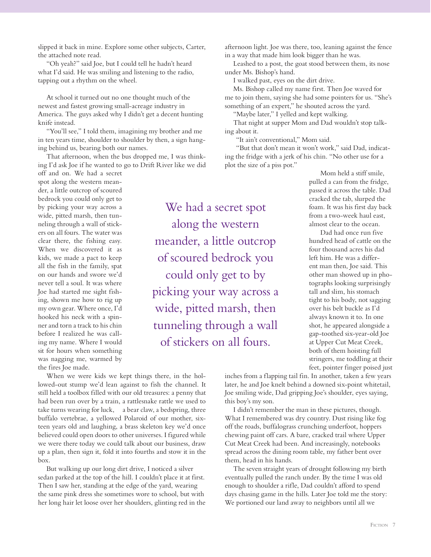slipped it back in mine. Explore some other subjects, Carter, the attached note read.

"Oh yeah?" said Joe, but I could tell he hadn't heard what I'd said. He was smiling and listening to the radio, tapping out a rhythm on the wheel.

At school it turned out no one thought much of the newest and fastest growing small-acreage industry in America. The guys asked why I didn't get a decent hunting knife instead.

"You'll see," I told them, imagining my brother and me in ten years time, shoulder to shoulder by then, a sign hanging behind us, bearing both our names.

That afternoon, when the bus dropped me, I was thinking I'd ask Joe if he wanted to go to Drift River like we did

off and on. We had a secret spot along the western meander, a little outcrop of scoured bedrock you could only get to by picking your way across a wide, pitted marsh, then tunneling through a wall of stickers on all fours. The water was clear there, the fishing easy. When we discovered it as kids, we made a pact to keep all the fish in the family, spat on our hands and swore we'd never tell a soul. It was where Joe had started me sight fishing, shown me how to rig up my own gear. Where once, I'd hooked his neck with a spinner and torn a track to his chin before I realized he was calling my name. Where I would sit for hours when something was nagging me, warmed by the fires Joe made.

We had a secret spot along the western meander, a little outcrop of scoured bedrock you could only get to by picking your way across a wide, pitted marsh, then tunneling through a wall of stickers on all fours.

When we were kids we kept things there, in the hollowed-out stump we'd lean against to fish the channel. It still held a toolbox filled with our old treasures: a penny that had been run over by a train, a rattlesnake rattle we used to take turns wearing for luck, a bear claw, a bedspring, three buffalo vertebrae, a yellowed Polaroid of our mother, sixteen years old and laughing, a brass skeleton key we'd once believed could open doors to other universes. I figured while we were there today we could talk about our business, draw up a plan, then sign it, fold it into fourths and stow it in the box.

But walking up our long dirt drive, I noticed a silver sedan parked at the top of the hill. I couldn't place it at first. Then I saw her, standing at the edge of the yard, wearing the same pink dress she sometimes wore to school, but with her long hair let loose over her shoulders, glinting red in the afternoon light. Joe was there, too, leaning against the fence in a way that made him look bigger than he was.

Leashed to a post, the goat stood between them, its nose under Ms. Bishop's hand.

I walked past, eyes on the dirt drive.

Ms. Bishop called my name first. Then Joe waved for me to join them, saying she had some pointers for us. "She's something of an expert," he shouted across the yard.

"Maybe later," I yelled and kept walking.

That night at supper Mom and Dad wouldn't stop talking about it.

"It ain't conventional," Mom said.

 "But that don't mean it won't work," said Dad, indicating the fridge with a jerk of his chin. "No other use for a plot the size of a piss pot."

> Mom held a stiff smile, pulled a can from the fridge, passed it across the table. Dad cracked the tab, slurped the foam. It was his first day back from a two-week haul east, almost clear to the ocean.

 Dad had once run five hundred head of cattle on the four thousand acres his dad left him. He was a different man then, Joe said. This other man showed up in photographs looking surprisingly tall and slim, his stomach tight to his body, not sagging over his belt buckle as I'd always known it to. In one shot, he appeared alongside a gap-toothed six-year-old Joe at Upper Cut Meat Creek, both of them hoisting full stringers, me toddling at their feet, pointer finger poised just

inches from a flapping tail fin. In another, taken a few years later, he and Joe knelt behind a downed six-point whitetail, Joe smiling wide, Dad gripping Joe's shoulder, eyes saying, this boy's my son.

I didn't remember the man in these pictures, though. What I remembered was dry country. Dust rising like fog off the roads, buffalograss crunching underfoot, hoppers chewing paint off cars. A bare, cracked trail where Upper Cut Meat Creek had been. And increasingly, notebooks spread across the dining room table, my father bent over them, head in his hands.

The seven straight years of drought following my birth eventually pulled the ranch under. By the time I was old enough to shoulder a rifle, Dad couldn't afford to spend days chasing game in the hills. Later Joe told me the story: We portioned our land away to neighbors until all we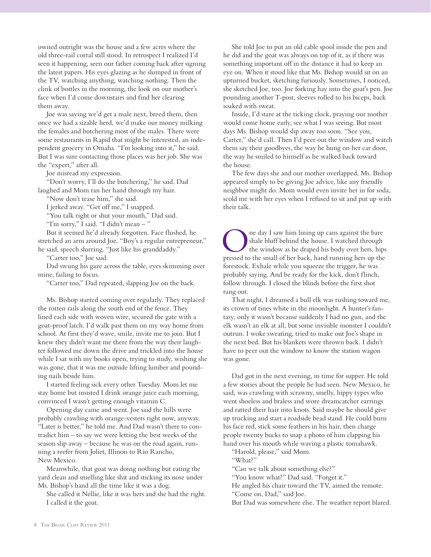owned outright was the house and a few acres where the old three-rail corral still stood. In retrospect I realized I'd seen it happening, seen our father coming back after signing the latest papers. His eyes glazing as he slumped in front of the TV, watching anything, watching nothing. Then the clink of bottles in the morning, the look on our mother's face when I'd come downstairs and find her clearing them away.

Joe was saying we'd get a male next, breed them, then once we had a sizable herd, we'd make our money milking the females and butchering most of the males. There were some restaurants in Rapid that might be interested, an independent grocery in Omaha. "I'm looking into it," he said. But I was sure contacting those places was her job. She was the "expert," after all.

Joe misread my expression.

"Don't worry, I'll do the butchering," he said. Dad laughed and Mom ran her hand through my hair.

"Now don't tease him," she said.

I jerked away. "Get off me," I snapped.

"You talk right or shut your mouth," Dad said.

"I'm sorry," I said. "I didn't mean – "

But it seemed he'd already forgotten. Face flushed, he stretched an arm around Joe. "Boy's a regular entrepreneur," he said, speech slurring. "Just like his granddaddy."

"Carter too," Joe said.

Dad swung his gaze across the table, eyes skimming over mine, failing to focus.

"Carter too," Dad repeated, slapping Joe on the back.

Ms. Bishop started coming over regularly. They replaced the rotten rails along the south end of the fence. They lined each side with woven wire, secured the gate with a goat-proof latch. I'd walk past them on my way home from school. At first they'd wave, smile, invite me to join. But I knew they didn't want me there from the way their laughter followed me down the drive and trickled into the house while I sat with my books open, trying to study, wishing she was gone, that it was me outside lifting lumber and pounding nails beside him.

I started feeling sick every other Tuesday. Mom let me stay home but insisted I drink orange juice each morning, convinced I wasn't getting enough vitamin C.

Opening day came and went. Joe said the hills were probably crawling with orange-vesters right now, anyway. "Later is better," he told me. And Dad wasn't there to contradict him – to say we were letting the best weeks of the season slip away – because he was on the road again, running a reefer from Joliet, Illinois to Rio Rancho, New Mexico.

Meanwhile, that goat was doing nothing but eating the yard clean and smelling like shit and sticking its nose under Ms. Bishop's hand all the time like it was a dog.

She called it Nellie, like it was hers and she had the right. I called it the goat.

She told Joe to put an old cable spool inside the pen and he did and the goat was always on top of it, as if there was something important off in the distance it had to keep an eye on. When it stood like that Ms. Bishop would sit on an upturned bucket, sketching furiously. Sometimes, I noticed, she sketched Joe, too. Joe forking hay into the goat's pen. Joe pounding another T-post, sleeves rolled to his biceps, back soaked with sweat.

Inside, I'd stare at the ticking clock, praying our mother would come home early, see what I was seeing. But most days Ms. Bishop would slip away too soon. "See you, Carter," she'd call. Then I'd peer out the window and watch them say their goodbyes, the way he hung on her car door, the way he smiled to himself as he walked back toward the house.

The few days she and our mother overlapped, Ms. Bishop appeared simply to be giving Joe advice, like any friendly neighbor might do. Mom would even invite her in for soda, scold me with her eyes when I refused to sit and put up with their talk.

The day I saw him lining up cans against the bare<br>
the window as he draped his body over hers, hips<br>
the window as he draped his body over hers, hips<br>
the small of her back, hand running hers up the shale bluff behind the house. I watched through pressed to the small of her back, hand running hers up the forestock. Exhale while you squeeze the trigger, he was probably saying. And be ready for the kick, don't flinch, follow through. I closed the blinds before the first shot rang out.

That night, I dreamed a bull elk was rushing toward me, its crown of tines white in the moonlight. A hunter's fantasy, only it wasn't because suddenly I had no gun, and the elk wasn't an elk at all, but some invisible monster I couldn't outrun. I woke sweating, tried to make out Joe's shape in the next bed. But his blankets were thrown back. I didn't have to peer out the window to know the station wagon was gone.

Dad got in the next evening, in time for supper. He told a few stories about the people he had seen. New Mexico, he said, was crawling with scrawny, smelly, hippy types who went shoeless and braless and wore dreamcatcher earrings and ratted their hair into knots. Said maybe he should give up trucking and start a roadside bead stand. He could burn his face red, stick some feathers in his hair, then charge people twenty bucks to snap a photo of him clapping his hand over his mouth while waving a plastic tomahawk.

"Harold, please," said Mom.

"What?"

"Can we talk about something else?"

"You know what?" Dad said. "Forget it."

He angled his chair toward the TV, aimed the remote.

"Come on, Dad," said Joe.

But Dad was somewhere else. The weather report blared.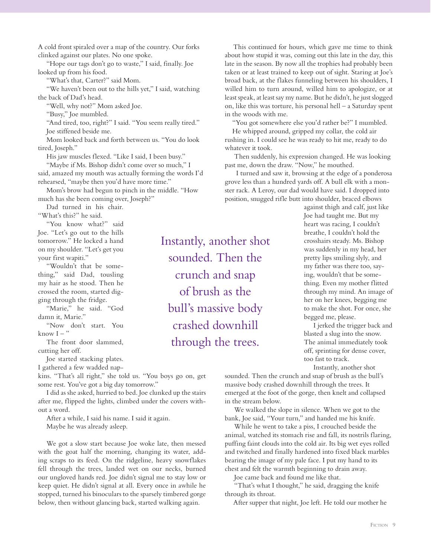A cold front spiraled over a map of the country. Our forks clinked against our plates. No one spoke.

"Hope our tags don't go to waste," I said, finally. Joe looked up from his food.

"What's that, Carter?" said Mom.

"We haven't been out to the hills yet," I said, watching the back of Dad's head.

"Well, why not?" Mom asked Joe.

"Busy," Joe mumbled.

"And tired, too, right?" I said. "You seem really tired." Joe stiffened beside me.

Mom looked back and forth between us. "You do look tired, Joseph."

His jaw muscles flexed. "Like I said, I been busy."

"Maybe if Ms. Bishop didn't come over so much," I said, amazed my mouth was actually forming the words I'd rehearsed, "maybe then you'd have more time."

Mom's brow had begun to pinch in the middle. "How much has she been coming over, Joseph?"

Dad turned in his chair.

"What's this?" he said. "You know what?" said Joe. "Let's go out to the hills tomorrow." He locked a hand on my shoulder. "Let's get you your first wapiti."

"Wouldn't that be something," said Dad, tousling my hair as he stood. Then he crossed the room, started digging through the fridge.

"Marie," he said. "God damn it, Marie."

"Now don't start. You know  $I -$ "

The front door slammed, cutting her off.

Joe started stacking plates.

I gathered a few wadded nap-

kins. "That's all right," she told us. "You boys go on, get some rest. You've got a big day tomorrow."

I did as she asked, hurried to bed. Joe clunked up the stairs after me, flipped the lights, climbed under the covers without a word.

After a while, I said his name. I said it again. Maybe he was already asleep.

We got a slow start because Joe woke late, then messed with the goat half the morning, changing its water, adding scraps to its feed. On the ridgeline, heavy snowflakes fell through the trees, landed wet on our necks, burned our ungloved hands red. Joe didn't signal me to stay low or keep quiet. He didn't signal at all. Every once in awhile he stopped, turned his binoculars to the sparsely timbered gorge below, then without glancing back, started walking again.

Instantly, another shot sounded. Then the crunch and snap of brush as the bull's massive body crashed downhill through the trees.

This continued for hours, which gave me time to think about how stupid it was, coming out this late in the day, this late in the season. By now all the trophies had probably been taken or at least trained to keep out of sight. Staring at Joe's broad back, at the flakes funneling between his shoulders, I willed him to turn around, willed him to apologize, or at least speak, at least say my name. But he didn't, he just slogged on, like this was torture, his personal hell – a Saturday spent in the woods with me.

"You got somewhere else you'd rather be?" I mumbled.

 He whipped around, gripped my collar, the cold air rushing in. I could see he was ready to hit me, ready to do whatever it took.

 Then suddenly, his expression changed. He was looking past me, down the draw. "Now," he mouthed.

 I turned and saw it, browsing at the edge of a ponderosa grove less than a hundred yards off. A bull elk with a monster rack. A Leroy, our dad would have said. I dropped into position, snugged rifle butt into shoulder, braced elbows

> against thigh and calf, just like Joe had taught me. But my heart was racing, I couldn't breathe, I couldn't hold the crosshairs steady. Ms. Bishop was suddenly in my head, her pretty lips smiling slyly, and my father was there too, saying, wouldn't that be something. Even my mother flitted through my mind. An image of her on her knees, begging me to make the shot. For once, she begged me, please.

 I jerked the trigger back and blasted a slug into the snow. The animal immediately took off, sprinting for dense cover, too fast to track.

Instantly, another shot

sounded. Then the crunch and snap of brush as the bull's massive body crashed downhill through the trees. It emerged at the foot of the gorge, then knelt and collapsed in the stream below.

 We walked the slope in silence. When we got to the bank, Joe said, "Your turn," and handed me his knife.

 While he went to take a piss, I crouched beside the animal, watched its stomach rise and fall, its nostrils flaring, puffing faint clouds into the cold air. Its big wet eyes rolled and twitched and finally hardened into fixed black marbles bearing the image of my pale face. I put my hand to its chest and felt the warmth beginning to drain away.

Joe came back and found me like that.

 "That's what I thought," he said, dragging the knife through its throat.

After supper that night, Joe left. He told our mother he